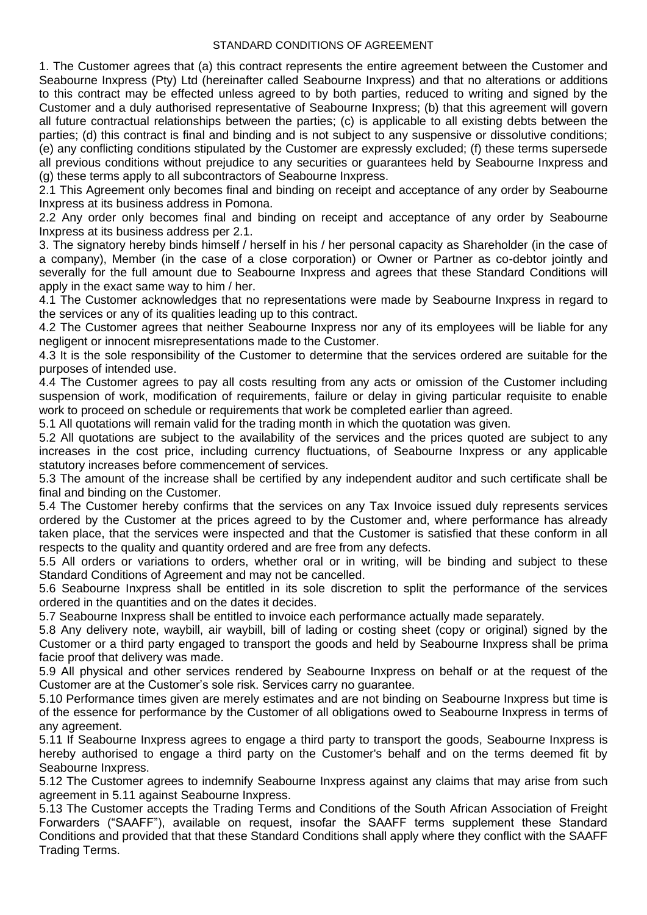1. The Customer agrees that (a) this contract represents the entire agreement between the Customer and Seabourne Inxpress (Pty) Ltd (hereinafter called Seabourne Inxpress) and that no alterations or additions to this contract may be effected unless agreed to by both parties, reduced to writing and signed by the Customer and a duly authorised representative of Seabourne Inxpress; (b) that this agreement will govern all future contractual relationships between the parties; (c) is applicable to all existing debts between the parties; (d) this contract is final and binding and is not subject to any suspensive or dissolutive conditions; (e) any conflicting conditions stipulated by the Customer are expressly excluded; (f) these terms supersede all previous conditions without prejudice to any securities or guarantees held by Seabourne Inxpress and (g) these terms apply to all subcontractors of Seabourne Inxpress.

2.1 This Agreement only becomes final and binding on receipt and acceptance of any order by Seabourne Inxpress at its business address in Pomona.

2.2 Any order only becomes final and binding on receipt and acceptance of any order by Seabourne Inxpress at its business address per 2.1.

3. The signatory hereby binds himself / herself in his / her personal capacity as Shareholder (in the case of a company), Member (in the case of a close corporation) or Owner or Partner as co-debtor jointly and severally for the full amount due to Seabourne Inxpress and agrees that these Standard Conditions will apply in the exact same way to him / her.

4.1 The Customer acknowledges that no representations were made by Seabourne Inxpress in regard to the services or any of its qualities leading up to this contract.

4.2 The Customer agrees that neither Seabourne Inxpress nor any of its employees will be liable for any negligent or innocent misrepresentations made to the Customer.

4.3 It is the sole responsibility of the Customer to determine that the services ordered are suitable for the purposes of intended use.

4.4 The Customer agrees to pay all costs resulting from any acts or omission of the Customer including suspension of work, modification of requirements, failure or delay in giving particular requisite to enable work to proceed on schedule or requirements that work be completed earlier than agreed.

5.1 All quotations will remain valid for the trading month in which the quotation was given.

5.2 All quotations are subject to the availability of the services and the prices quoted are subject to any increases in the cost price, including currency fluctuations, of Seabourne Inxpress or any applicable statutory increases before commencement of services.

5.3 The amount of the increase shall be certified by any independent auditor and such certificate shall be final and binding on the Customer.

5.4 The Customer hereby confirms that the services on any Tax Invoice issued duly represents services ordered by the Customer at the prices agreed to by the Customer and, where performance has already taken place, that the services were inspected and that the Customer is satisfied that these conform in all respects to the quality and quantity ordered and are free from any defects.

5.5 All orders or variations to orders, whether oral or in writing, will be binding and subject to these Standard Conditions of Agreement and may not be cancelled.

5.6 Seabourne Inxpress shall be entitled in its sole discretion to split the performance of the services ordered in the quantities and on the dates it decides.

5.7 Seabourne Inxpress shall be entitled to invoice each performance actually made separately.

5.8 Any delivery note, waybill, air waybill, bill of lading or costing sheet (copy or original) signed by the Customer or a third party engaged to transport the goods and held by Seabourne Inxpress shall be prima facie proof that delivery was made.

5.9 All physical and other services rendered by Seabourne Inxpress on behalf or at the request of the Customer are at the Customer's sole risk. Services carry no guarantee.

5.10 Performance times given are merely estimates and are not binding on Seabourne Inxpress but time is of the essence for performance by the Customer of all obligations owed to Seabourne Inxpress in terms of any agreement.

5.11 If Seabourne Inxpress agrees to engage a third party to transport the goods, Seabourne Inxpress is hereby authorised to engage a third party on the Customer's behalf and on the terms deemed fit by Seabourne Inxpress.

5.12 The Customer agrees to indemnify Seabourne Inxpress against any claims that may arise from such agreement in 5.11 against Seabourne Inxpress.

5.13 The Customer accepts the Trading Terms and Conditions of the South African Association of Freight Forwarders ("SAAFF"), available on request, insofar the SAAFF terms supplement these Standard Conditions and provided that that these Standard Conditions shall apply where they conflict with the SAAFF Trading Terms.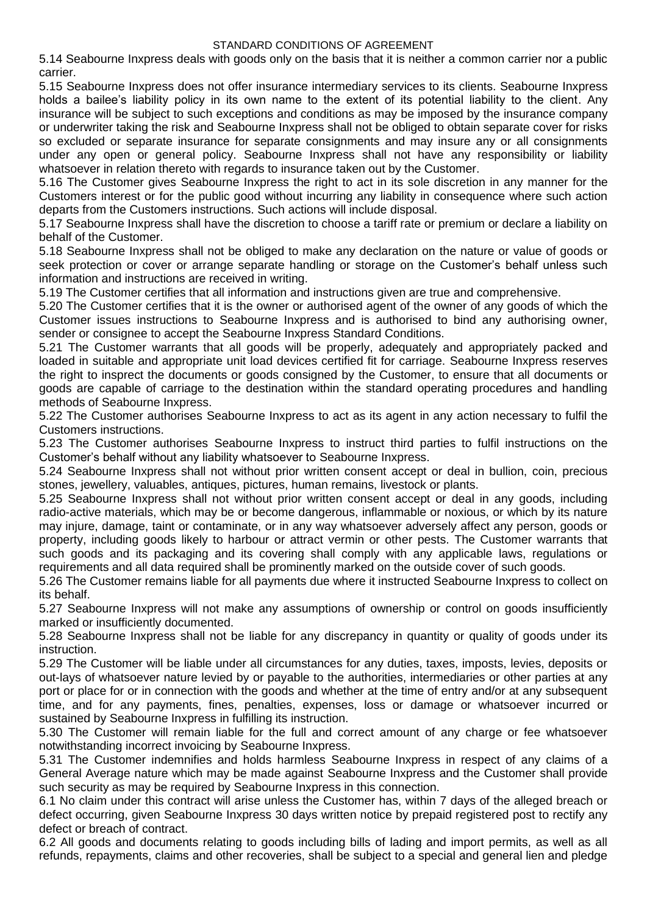5.14 Seabourne Inxpress deals with goods only on the basis that it is neither a common carrier nor a public carrier.

5.15 Seabourne Inxpress does not offer insurance intermediary services to its clients. Seabourne Inxpress holds a bailee's liability policy in its own name to the extent of its potential liability to the client. Any insurance will be subject to such exceptions and conditions as may be imposed by the insurance company or underwriter taking the risk and Seabourne Inxpress shall not be obliged to obtain separate cover for risks so excluded or separate insurance for separate consignments and may insure any or all consignments under any open or general policy. Seabourne Inxpress shall not have any responsibility or liability whatsoever in relation thereto with regards to insurance taken out by the Customer.

5.16 The Customer gives Seabourne Inxpress the right to act in its sole discretion in any manner for the Customers interest or for the public good without incurring any liability in consequence where such action departs from the Customers instructions. Such actions will include disposal.

5.17 Seabourne Inxpress shall have the discretion to choose a tariff rate or premium or declare a liability on behalf of the Customer.

5.18 Seabourne Inxpress shall not be obliged to make any declaration on the nature or value of goods or seek protection or cover or arrange separate handling or storage on the Customer's behalf unless such information and instructions are received in writing.

5.19 The Customer certifies that all information and instructions given are true and comprehensive.

5.20 The Customer certifies that it is the owner or authorised agent of the owner of any goods of which the Customer issues instructions to Seabourne Inxpress and is authorised to bind any authorising owner, sender or consignee to accept the Seabourne Inxpress Standard Conditions.

5.21 The Customer warrants that all goods will be properly, adequately and appropriately packed and loaded in suitable and appropriate unit load devices certified fit for carriage. Seabourne Inxpress reserves the right to insprect the documents or goods consigned by the Customer, to ensure that all documents or goods are capable of carriage to the destination within the standard operating procedures and handling methods of Seabourne Inxpress.

5.22 The Customer authorises Seabourne Inxpress to act as its agent in any action necessary to fulfil the Customers instructions.

5.23 The Customer authorises Seabourne Inxpress to instruct third parties to fulfil instructions on the Customer's behalf without any liability whatsoever to Seabourne Inxpress.

5.24 Seabourne Inxpress shall not without prior written consent accept or deal in bullion, coin, precious stones, jewellery, valuables, antiques, pictures, human remains, livestock or plants.

5.25 Seabourne Inxpress shall not without prior written consent accept or deal in any goods, including radio-active materials, which may be or become dangerous, inflammable or noxious, or which by its nature may injure, damage, taint or contaminate, or in any way whatsoever adversely affect any person, goods or property, including goods likely to harbour or attract vermin or other pests. The Customer warrants that such goods and its packaging and its covering shall comply with any applicable laws, regulations or requirements and all data required shall be prominently marked on the outside cover of such goods.

5.26 The Customer remains liable for all payments due where it instructed Seabourne Inxpress to collect on its behalf.

5.27 Seabourne Inxpress will not make any assumptions of ownership or control on goods insufficiently marked or insufficiently documented.

5.28 Seabourne Inxpress shall not be liable for any discrepancy in quantity or quality of goods under its instruction.

5.29 The Customer will be liable under all circumstances for any duties, taxes, imposts, levies, deposits or out-lays of whatsoever nature levied by or payable to the authorities, intermediaries or other parties at any port or place for or in connection with the goods and whether at the time of entry and/or at any subsequent time, and for any payments, fines, penalties, expenses, loss or damage or whatsoever incurred or sustained by Seabourne Inxpress in fulfilling its instruction.

5.30 The Customer will remain liable for the full and correct amount of any charge or fee whatsoever notwithstanding incorrect invoicing by Seabourne Inxpress.

5.31 The Customer indemnifies and holds harmless Seabourne Inxpress in respect of any claims of a General Average nature which may be made against Seabourne Inxpress and the Customer shall provide such security as may be required by Seabourne Inxpress in this connection.

6.1 No claim under this contract will arise unless the Customer has, within 7 days of the alleged breach or defect occurring, given Seabourne Inxpress 30 days written notice by prepaid registered post to rectify any defect or breach of contract.

6.2 All goods and documents relating to goods including bills of lading and import permits, as well as all refunds, repayments, claims and other recoveries, shall be subject to a special and general lien and pledge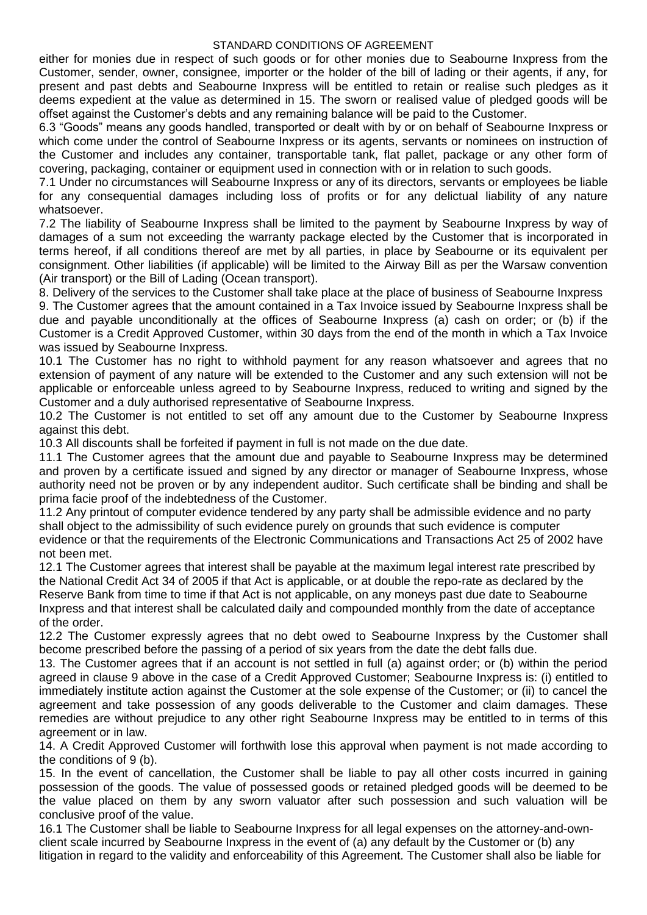either for monies due in respect of such goods or for other monies due to Seabourne Inxpress from the Customer, sender, owner, consignee, importer or the holder of the bill of lading or their agents, if any, for present and past debts and Seabourne Inxpress will be entitled to retain or realise such pledges as it deems expedient at the value as determined in 15. The sworn or realised value of pledged goods will be offset against the Customer's debts and any remaining balance will be paid to the Customer.

6.3 "Goods" means any goods handled, transported or dealt with by or on behalf of Seabourne Inxpress or which come under the control of Seabourne Inxpress or its agents, servants or nominees on instruction of the Customer and includes any container, transportable tank, flat pallet, package or any other form of covering, packaging, container or equipment used in connection with or in relation to such goods.

7.1 Under no circumstances will Seabourne Inxpress or any of its directors, servants or employees be liable for any consequential damages including loss of profits or for any delictual liability of any nature whatsoever.

7.2 The liability of Seabourne Inxpress shall be limited to the payment by Seabourne Inxpress by way of damages of a sum not exceeding the warranty package elected by the Customer that is incorporated in terms hereof, if all conditions thereof are met by all parties, in place by Seabourne or its equivalent per consignment. Other liabilities (if applicable) will be limited to the Airway Bill as per the Warsaw convention (Air transport) or the Bill of Lading (Ocean transport).

8. Delivery of the services to the Customer shall take place at the place of business of Seabourne Inxpress 9. The Customer agrees that the amount contained in a Tax Invoice issued by Seabourne Inxpress shall be due and payable unconditionally at the offices of Seabourne Inxpress (a) cash on order; or (b) if the Customer is a Credit Approved Customer, within 30 days from the end of the month in which a Tax Invoice was issued by Seabourne Inxpress.

10.1 The Customer has no right to withhold payment for any reason whatsoever and agrees that no extension of payment of any nature will be extended to the Customer and any such extension will not be applicable or enforceable unless agreed to by Seabourne Inxpress, reduced to writing and signed by the Customer and a duly authorised representative of Seabourne Inxpress.

10.2 The Customer is not entitled to set off any amount due to the Customer by Seabourne Inxpress against this debt.

10.3 All discounts shall be forfeited if payment in full is not made on the due date.

11.1 The Customer agrees that the amount due and payable to Seabourne Inxpress may be determined and proven by a certificate issued and signed by any director or manager of Seabourne Inxpress, whose authority need not be proven or by any independent auditor. Such certificate shall be binding and shall be prima facie proof of the indebtedness of the Customer.

11.2 Any printout of computer evidence tendered by any party shall be admissible evidence and no party shall object to the admissibility of such evidence purely on grounds that such evidence is computer evidence or that the requirements of the Electronic Communications and Transactions Act 25 of 2002 have not been met.

12.1 The Customer agrees that interest shall be payable at the maximum legal interest rate prescribed by the National Credit Act 34 of 2005 if that Act is applicable, or at double the repo-rate as declared by the Reserve Bank from time to time if that Act is not applicable, on any moneys past due date to Seabourne Inxpress and that interest shall be calculated daily and compounded monthly from the date of acceptance of the order.

12.2 The Customer expressly agrees that no debt owed to Seabourne Inxpress by the Customer shall become prescribed before the passing of a period of six years from the date the debt falls due.

13. The Customer agrees that if an account is not settled in full (a) against order; or (b) within the period agreed in clause 9 above in the case of a Credit Approved Customer; Seabourne Inxpress is: (i) entitled to immediately institute action against the Customer at the sole expense of the Customer; or (ii) to cancel the agreement and take possession of any goods deliverable to the Customer and claim damages. These remedies are without prejudice to any other right Seabourne Inxpress may be entitled to in terms of this agreement or in law.

14. A Credit Approved Customer will forthwith lose this approval when payment is not made according to the conditions of 9 (b).

15. In the event of cancellation, the Customer shall be liable to pay all other costs incurred in gaining possession of the goods. The value of possessed goods or retained pledged goods will be deemed to be the value placed on them by any sworn valuator after such possession and such valuation will be conclusive proof of the value.

16.1 The Customer shall be liable to Seabourne Inxpress for all legal expenses on the attorney-and-ownclient scale incurred by Seabourne Inxpress in the event of (a) any default by the Customer or (b) any litigation in regard to the validity and enforceability of this Agreement. The Customer shall also be liable for